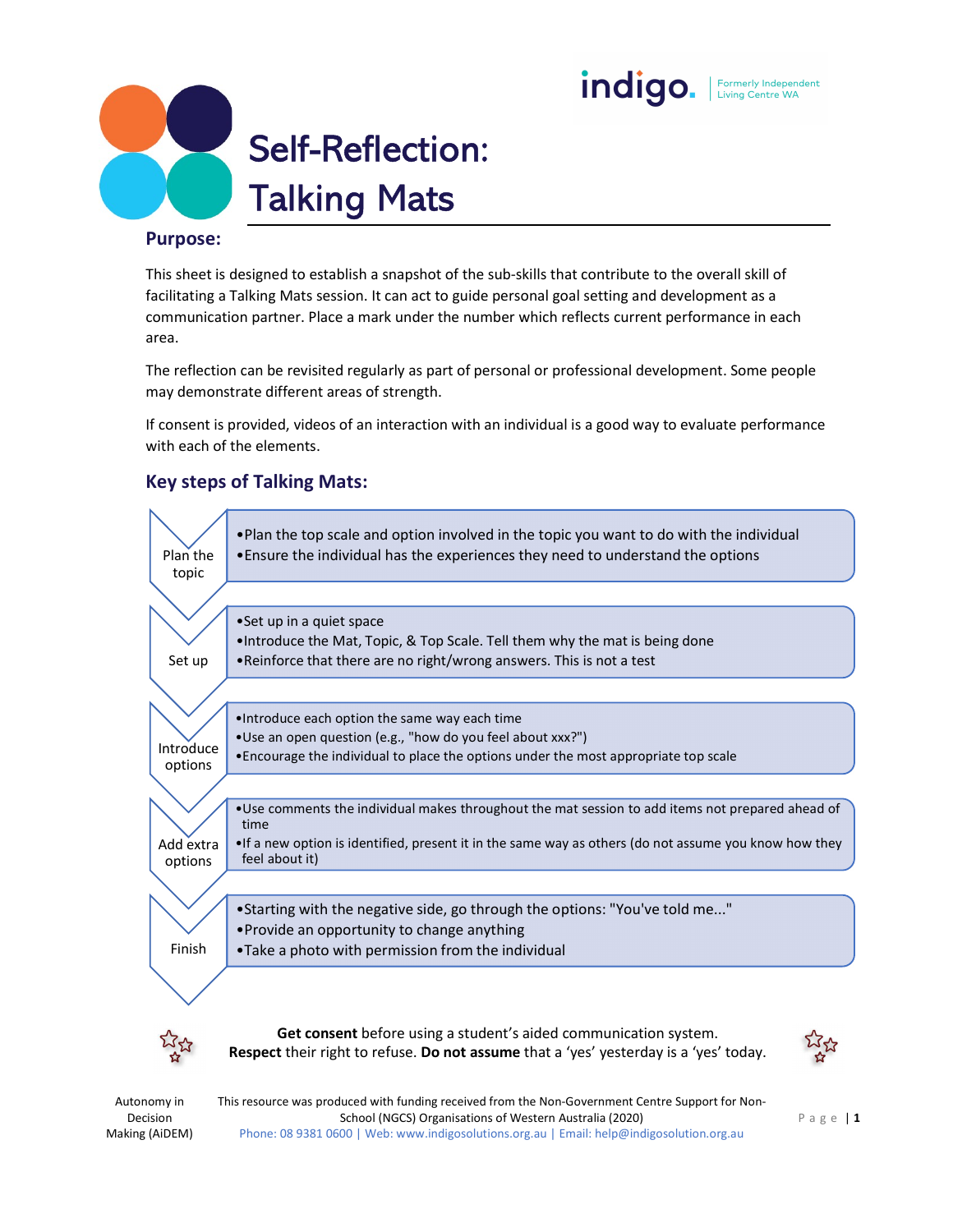# indigo. | Formerly Independent



#### Purpose:

This sheet is designed to establish a snapshot of the sub-skills that contribute to the overall skill of facilitating a Talking Mats session. It can act to guide personal goal setting and development as a communication partner. Place a mark under the number which reflects current performance in each area.

The reflection can be revisited regularly as part of personal or professional development. Some people may demonstrate different areas of strength.

If consent is provided, videos of an interaction with an individual is a good way to evaluate performance with each of the elements.

## Key steps of Talking Mats:



Decision Making (AiDEM)

Autonomy in This resource was produced with funding received from the Non-Government Centre Support for Non-Phone: 08 9381 0600 | Web: www.indigosolutions.org.au | Email: help@indigosolution.org.au